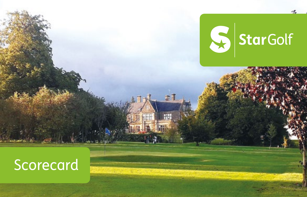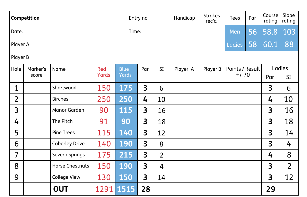| Competition    |          |                        |       |       |     | Entry no. |                | Handicap | <b>Strokes</b><br>rec'd | Tees    | Par    | Course<br>rating | Slope<br>rating |
|----------------|----------|------------------------|-------|-------|-----|-----------|----------------|----------|-------------------------|---------|--------|------------------|-----------------|
| Date:<br>Time: |          |                        |       |       |     |           |                | Men      | 56                      | 58.8    | 103    |                  |                 |
| Player A       |          |                        |       |       |     |           |                |          | Ladies                  | 58      | 60.1   | 88               |                 |
| Player B       |          |                        |       |       |     |           |                |          |                         |         |        |                  |                 |
| Hole           | Marker's | Name                   | Red   | Blue  | Par | <b>SI</b> | Player A       | Player B | Points / Result         |         | Ladies |                  |                 |
|                | score    |                        | Yards | Yards |     |           |                |          |                         | $+/-/0$ |        | Par              | SI              |
| 1              |          | Shortwood              | 150   | 175   |     | 3         | 6              |          |                         |         |        | 3                | 6               |
| 2              |          | <b>Birches</b>         | 250   | 250   |     | 4         | 10             |          |                         |         |        | 4                | 10              |
| 3              |          | Manor Garden           | 90    | 115   |     | 3         | 16             |          |                         |         |        | 3                | 16              |
| 4              |          | The Pitch              | 91    | 90    |     | 3         | 18             |          |                         |         |        | 3                | 18              |
| 5              |          | <b>Pine Trees</b>      | 115   | 140   |     | 3         | 12             |          |                         |         |        | 3                | 14              |
| 6              |          | <b>Coberley Drive</b>  | 140   | 190   |     | 3         | 8              |          |                         |         |        | 3                | 4               |
| 7              |          | Severn Springs         | 175   | 215   |     | 3         | $\overline{2}$ |          |                         |         |        | 4                | 8               |
| 8              |          | <b>Horse Chestnuts</b> | 150   | 190   |     | 3         | 4              |          |                         |         |        | 3                | $\overline{2}$  |
| 9              |          | College View           | 130   | 150   |     | 3         | 14             |          |                         |         |        | 3                | 12              |
|                |          | <b>OUT</b>             | 1291  | 1515  |     | 28        |                |          |                         |         |        | 29               |                 |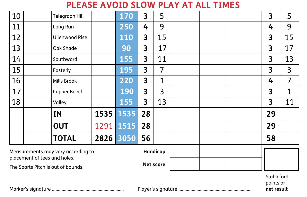**PLEASE AVOID SLOW PLAY AT ALL TIMES**

| 10                                             |  | Telegraph Hill        |      | 170  | 3  | 5            |  |  |                                       | 3  | 5  |
|------------------------------------------------|--|-----------------------|------|------|----|--------------|--|--|---------------------------------------|----|----|
| 11                                             |  | Long Run              |      | 250  | 4  | 9            |  |  |                                       | 4  | 9  |
| 12                                             |  | <b>Ullenwood Rise</b> |      | 110  | 3  | 15           |  |  |                                       | 3  | 15 |
| 13                                             |  | Oak Shade             |      | 90   | 3  | 17           |  |  |                                       | 3  | 17 |
| 14                                             |  | Southward             |      | 155  | 3  | 11           |  |  |                                       | 3  | 13 |
| 15                                             |  | Easterly              |      | 195  | 3  | 7            |  |  |                                       | 3  | 3  |
| 16                                             |  | Mills Brook           |      | 220  | 3  | $\mathbf{1}$ |  |  |                                       | 4  | 7  |
| 17                                             |  | Copper Beech          |      | 190  | 3  | 3            |  |  |                                       | 3  | 1  |
| 18                                             |  | Valley                |      | 155  | 3  | 13           |  |  |                                       | 3  | 11 |
|                                                |  | ΙN                    | 1535 | 1535 | 28 |              |  |  |                                       | 29 |    |
|                                                |  | OUT                   | 1291 | 1515 | 28 |              |  |  |                                       | 29 |    |
|                                                |  | <b>TOTAL</b>          | 2826 | 3050 | 56 |              |  |  |                                       | 58 |    |
| Handicap<br>Measurements may vary according to |  |                       |      |      |    |              |  |  |                                       |    |    |
| placement of tees and holes.                   |  |                       |      |      |    | Net score    |  |  |                                       |    |    |
| The Sports Pitch is out of bounds.             |  |                       |      |      |    |              |  |  | Stableford<br>points or<br>net result |    |    |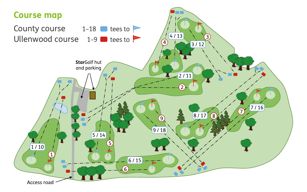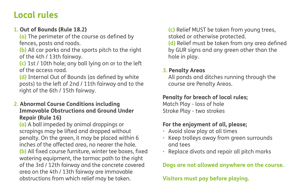# **Local rules**

### **1. Out of Bounds (Rule 18.2)**

**(a)** The perimeter of the course as defined by fences, posts and roads.

**(b)** All car parks and the sports pitch to the right of the 4th / 13th fairway.

**(c)** 1st / 10th hole; any ball lying on or to the left of the access road.

**(d)** Internal Out of Bounds (as defined by white posts) to the left of 2nd / 11th fairway and to the right of the 6th / 15th fairway.

#### **2. Abnormal Course Conditions including Immovable Obstructions and Ground Under Repair (Rule 16)**

**(a)** A ball impeded by animal droppings or scrapings may be lifted and dropped without penalty. On the green, it may be placed within 6 inches of the affected area, no nearer the hole. **(b)** All fixed course furniture, winter tee boxes, fixed watering equipment, the tarmac path to the right of the 3rd / 12th fairway and the concrete covered area on the 4th / 13th fairway are immovable obstructions from which relief may be taken.

**(c)** Relief MUST be taken from young trees, staked or otherwise protected.

**(d)** Relief must be taken from any area defined by GUR signs and any green other than the hole in play.

#### **3. Penalty Areas**

All ponds and ditches running through the course are Penalty Areas.

# **Penalty for breach of local rules;**

Match Play - loss of hole Stroke Play - two strokes

## **For the enjoyment of all, please;**

- Avoid slow play at all times
- Keep trolleys away from green surrounds and tees
- Replace divots and repair all pitch marks

## **Dogs are not allowed anywhere on the course.**

**Visitors must pay before playing.**